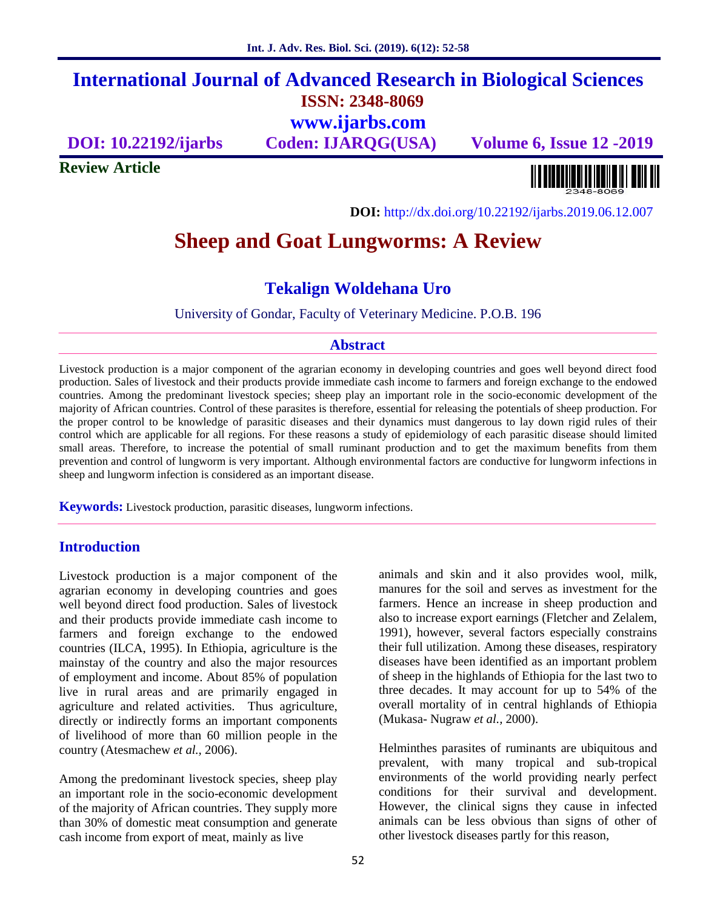# **International Journal of Advanced Research in Biological Sciences ISSN: 2348-8069 www.ijarbs.com**

**DOI: 10.22192/ijarbs Coden: IJARQG(USA) Volume 6, Issue 12 -2019**

**Review Article**

<u> Alban kalendari kalendar pada sebagai pengangkan pada atau pada atau pada atau sebagai pada atau salah pada a</u>

**DOI:** http://dx.doi.org/10.22192/ijarbs.2019.06.12.007

# **Sheep and Goat Lungworms: A Review**

# **Tekalign Woldehana Uro**

University of Gondar, Faculty of Veterinary Medicine. P.O.B. 196

#### **Abstract**

Livestock production is a major component of the agrarian economy in developing countries and goes well beyond direct food production. Sales of livestock and their products provide immediate cash income to farmers and foreign exchange to the endowed countries. Among the predominant livestock species; sheep play an important role in the socio-economic development of the majority of African countries. Control of these parasites is therefore, essential for releasing the potentials of sheep production. For the proper control to be knowledge of parasitic diseases and their dynamics must dangerous to lay down rigid rules of their control which are applicable for all regions. For these reasons a study of epidemiology of each parasitic disease should limited small areas. Therefore, to increase the potential of small ruminant production and to get the maximum benefits from them prevention and control of lungworm is very important. Although environmental factors are conductive for lungworm infections in sheep and lungworm infection is considered as an important disease.

**Keywords:** Livestock production, parasitic diseases, lungworm infections.

#### **Introduction**

Livestock production is a major component of the agrarian economy in developing countries and goes well beyond direct food production. Sales of livestock and their products provide immediate cash income to farmers and foreign exchange to the endowed countries (ILCA, 1995). In Ethiopia, agriculture is the mainstay of the country and also the major resources of employment and income. About 85% of population live in rural areas and are primarily engaged in agriculture and related activities. Thus agriculture, directly or indirectly forms an important components of livelihood of more than 60 million people in the country (Atesmachew *et al.,* 2006).

Among the predominant livestock species, sheep play an important role in the socio-economic development of the majority of African countries. They supply more than 30% of domestic meat consumption and generate cash income from export of meat, mainly as live

animals and skin and it also provides wool, milk, manures for the soil and serves as investment for the farmers. Hence an increase in sheep production and also to increase export earnings (Fletcher and Zelalem, 1991), however, several factors especially constrains their full utilization. Among these diseases, respiratory diseases have been identified as an important problem of sheep in the highlands of Ethiopia for the last two to three decades. It may account for up to 54% of the overall mortality of in central highlands of Ethiopia (Mukasa- Nugraw *et al.,* 2000).

Helminthes parasites of ruminants are ubiquitous and prevalent, with many tropical and sub-tropical environments of the world providing nearly perfect conditions for their survival and development. However, the clinical signs they cause in infected animals can be less obvious than signs of other of other livestock diseases partly for this reason,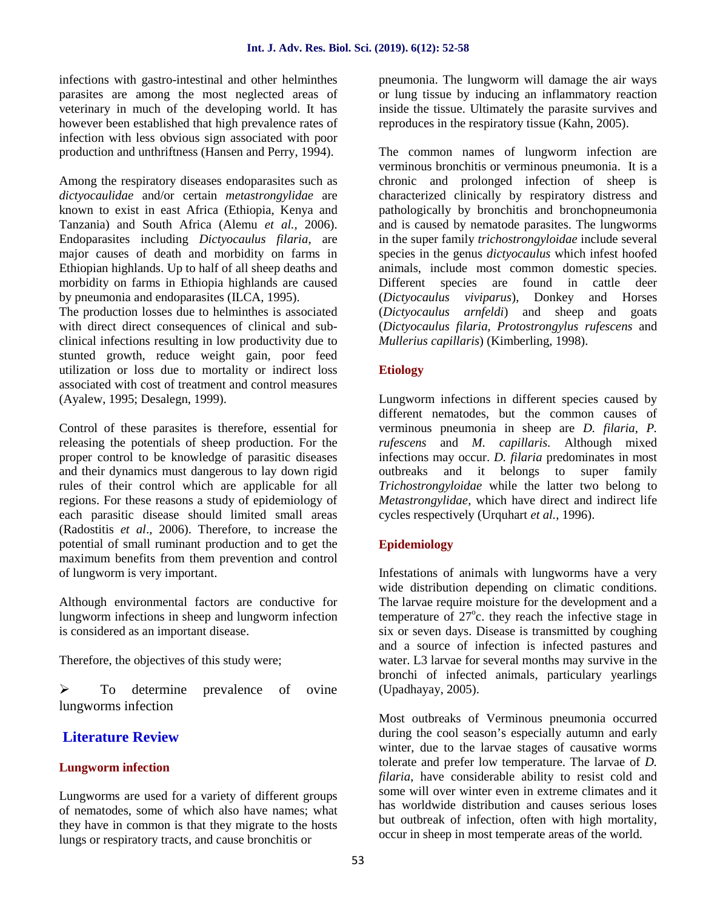infections with gastro-intestinal and other helminthes parasites are among the most neglected areas of veterinary in much of the developing world. It has however been established that high prevalence rates of infection with less obvious sign associated with poor production and unthriftness (Hansen and Perry, 1994).

Among the respiratory diseases endoparasites such as *dictyocaulidae* and/or certain *metastrongylidae* are known to exist in east Africa (Ethiopia, Kenya and Tanzania) and South Africa (Alemu *et al.,* 2006). Endoparasites including *Dictyocaulus filaria*, are major causes of death and morbidity on farms in Ethiopian highlands. Up to half of all sheep deaths and morbidity on farms in Ethiopia highlands are caused by pneumonia and endoparasites (ILCA, 1995).

The production losses due to helminthes is associated with direct direct consequences of clinical and sub clinical infections resulting in low productivity due to stunted growth, reduce weight gain, poor feed utilization or loss due to mortality or indirect loss associated with cost of treatment and control measures (Ayalew, 1995; Desalegn, 1999).

Control of these parasites is therefore, essential for releasing the potentials of sheep production. For the proper control to be knowledge of parasitic diseases and their dynamics must dangerous to lay down rigid rules of their control which are applicable for all regions. For these reasons a study of epidemiology of each parasitic disease should limited small areas (Radostitis *et al*., 2006). Therefore, to increase the potential of small ruminant production and to get the maximum benefits from them prevention and control of lungworm is very important.

Although environmental factors are conductive for lungworm infections in sheep and lungworm infection is considered as an important disease.

Therefore, the objectives of this study were;

 $\triangleright$  To determine prevalence of ovine lungworms infection

# **Literature Review**

## **Lungworm infection**

Lungworms are used for a variety of different groups of nematodes, some of which also have names; what they have in common is that they migrate to the hosts lungs or respiratory tracts, and cause bronchitis or

pneumonia. The lungworm will damage the air ways or lung tissue by inducing an inflammatory reaction inside the tissue. Ultimately the parasite survives and reproduces in the respiratory tissue (Kahn, 2005).

The common names of lungworm infection are verminous bronchitis or verminous pneumonia. It is a chronic and prolonged infection of sheep is characterized clinically by respiratory distress and pathologically by bronchitis and bronchopneumonia and is caused by nematode parasites. The lungworms in the super family *trichostrongyloidae* include several species in the genus *dictyocaulus* which infest hoofed animals, include most common domestic species. Different species are found in cattle deer (*Dictyocaulus viviparus*), Donkey and Horses (*Dictyocaulus arnfeldi*) and sheep and goats (*Dictyocaulus filaria, Protostrongylus rufescens* and *Mullerius capillaris*) (Kimberling, 1998).

### **Etiology**

Lungworm infections in different species caused by different nematodes, but the common causes of verminous pneumonia in sheep are *D. filaria, P. rufescens* and *M. capillaris.* Although mixed infections may occur. *D. filaria* predominates in most outbreaks and it belongs to super family *Trichostrongyloidae* while the latter two belong to *Metastrongylidae,* which have direct and indirect life cycles respectively (Urquhart *et al.,* 1996).

#### **Epidemiology**

Infestations of animals with lungworms have a very wide distribution depending on climatic conditions. The larvae require moisture for the development and a temperature of  $27^{\circ}$ c. they reach the infective stage in six or seven days. Disease is transmitted by coughing and a source of infection is infected pastures and water. L3 larvae for several months may survive in the bronchi of infected animals, particulary yearlings (Upadhayay, 2005).

Most outbreaks of Verminous pneumonia occurred during the cool season's especially autumn and early winter, due to the larvae stages of causative worms tolerate and prefer low temperature. The larvae of *D. filaria*, have considerable ability to resist cold and some will over winter even in extreme climates and it has worldwide distribution and causes serious loses but outbreak of infection, often with high mortality, occur in sheep in most temperate areas of the world.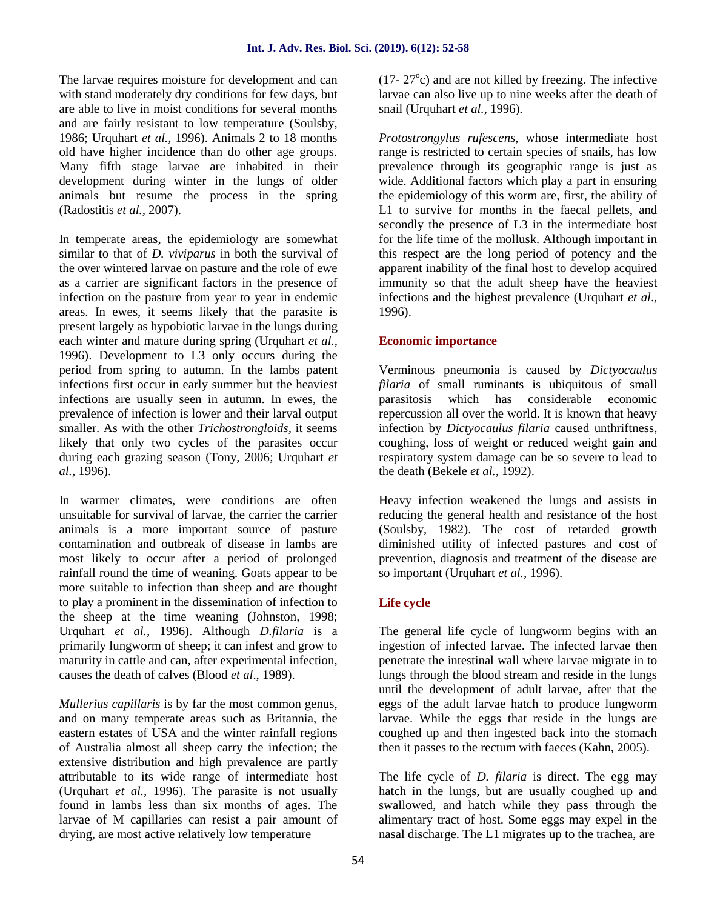The larvae requires moisture for development and can with stand moderately dry conditions for few days, but are able to live in moist conditions for several months and are fairly resistant to low temperature (Soulsby, 1986; Urquhart *et al.,* 1996). Animals 2 to 18 months old have higher incidence than do other age groups. Many fifth stage larvae are inhabited in their development during winter in the lungs of older animals but resume the process in the spring (Radostitis *et al.,* 2007).

In temperate areas, the epidemiology are somewhat similar to that of *D. viviparus* in both the survival of the over wintered larvae on pasture and the role of ewe as a carrier are significant factors in the presence of infection on the pasture from year to year in endemic areas. In ewes, it seems likely that the parasite is present largely as hypobiotic larvae in the lungs during each winter and mature during spring (Urquhart *et al.,* 1996). Development to L3 only occurs during the period from spring to autumn. In the lambs patent infections first occur in early summer but the heaviest infections are usually seen in autumn. In ewes, the prevalence of infection is lower and their larval output smaller. As with the other *Trichostrongloids,* it seems likely that only two cycles of the parasites occur during each grazing season (Tony, 2006; Urquhart *et al.,* 1996).

In warmer climates, were conditions are often unsuitable for survival of larvae, the carrier the carrier animals is a more important source of pasture contamination and outbreak of disease in lambs are most likely to occur after a period of prolonged rainfall round the time of weaning. Goats appear to be more suitable to infection than sheep and are thought to play a prominent in the dissemination of infection to the sheep at the time weaning (Johnston, 1998; Urquhart *et al.,* 1996). Although *D.filaria* is a primarily lungworm of sheep; it can infest and grow to maturity in cattle and can, after experimental infection, causes the death of calves (Blood *et al*., 1989).

*Mullerius capillaris* is by far the most common genus, and on many temperate areas such as Britannia, the eastern estates of USA and the winter rainfall regions of Australia almost all sheep carry the infection; the extensive distribution and high prevalence are partly attributable to its wide range of intermediate host (Urquhart *et al.,* 1996). The parasite is not usually found in lambs less than six months of ages. The larvae of M capillaries can resist a pair amount of drying, are most active relatively low temperature

 $(17-27<sup>o</sup>c)$  and are not killed by freezing. The infective larvae can also live up to nine weeks after the death of snail (Urquhart *et al.,* 1996).

*Protostrongylus rufescens*, whose intermediate host range is restricted to certain species of snails, has low prevalence through its geographic range is just as wide. Additional factors which play a part in ensuring the epidemiology of this worm are, first, the ability of L1 to survive for months in the faecal pellets, and secondly the presence of L3 in the intermediate host for the life time of the mollusk. Although important in this respect are the long period of potency and the apparent inability of the final host to develop acquired immunity so that the adult sheep have the heaviest infections and the highest prevalence (Urquhart *et al*., 1996).

#### **Economic importance**

Verminous pneumonia is caused by *Dictyocaulus filaria* of small ruminants is ubiquitous of small parasitosis which has considerable economic repercussion all over the world. It is known that heavy infection by *Dictyocaulus filaria* caused unthriftness, coughing, loss of weight or reduced weight gain and respiratory system damage can be so severe to lead to the death (Bekele *et al.,* 1992).

Heavy infection weakened the lungs and assists in reducing the general health and resistance of the host (Soulsby, 1982). The cost of retarded growth diminished utility of infected pastures and cost of prevention, diagnosis and treatment of the disease are so important (Urquhart *et al.,* 1996).

#### **Life cycle**

The general life cycle of lungworm begins with an ingestion of infected larvae. The infected larvae then penetrate the intestinal wall where larvae migrate in to lungs through the blood stream and reside in the lungs until the development of adult larvae, after that the eggs of the adult larvae hatch to produce lungworm larvae. While the eggs that reside in the lungs are coughed up and then ingested back into the stomach then it passes to the rectum with faeces (Kahn, 2005).

The life cycle of *D. filaria* is direct. The egg may hatch in the lungs, but are usually coughed up and swallowed, and hatch while they pass through the alimentary tract of host. Some eggs may expel in the nasal discharge. The L1 migrates up to the trachea, are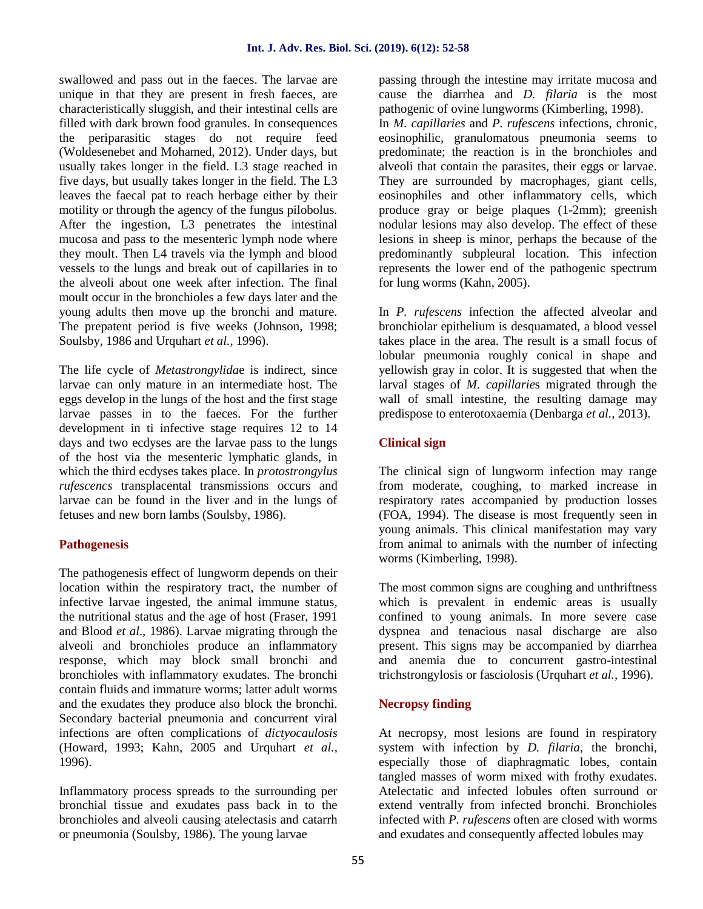swallowed and pass out in the faeces. The larvae are unique in that they are present in fresh faeces, are characteristically sluggish, and their intestinal cells are filled with dark brown food granules. In consequences the periparasitic stages do not require feed (Woldesenebet and Mohamed, 2012). Under days, but usually takes longer in the field. L3 stage reached in five days, but usually takes longer in the field. The L3 leaves the faecal pat to reach herbage either by their motility or through the agency of the fungus pilobolus. After the ingestion, L3 penetrates the intestinal mucosa and pass to the mesenteric lymph node where they moult. Then L4 travels via the lymph and blood vessels to the lungs and break out of capillaries in to the alveoli about one week after infection. The final moult occur in the bronchioles a few days later and the young adults then move up the bronchi and mature. The prepatent period is five weeks (Johnson, 1998; Soulsby, 1986 and Urquhart *et al.,* 1996).

The life cycle of *Metastrongylida*e is indirect, since larvae can only mature in an intermediate host. The eggs develop in the lungs of the host and the first stage larvae passes in to the faeces. For the further development in ti infective stage requires 12 to 14 days and two ecdyses are the larvae pass to the lungs of the host via the mesenteric lymphatic glands, in which the third ecdyses takes place. In *protostrongylus rufescencs* transplacental transmissions occurs and larvae can be found in the liver and in the lungs of fetuses and new born lambs (Soulsby, 1986).

#### **Pathogenesis**

The pathogenesis effect of lungworm depends on their location within the respiratory tract, the number of infective larvae ingested, the animal immune status, the nutritional status and the age of host (Fraser, 1991 and Blood *et al*., 1986). Larvae migrating through the alveoli and bronchioles produce an inflammatory response, which may block small bronchi and bronchioles with inflammatory exudates. The bronchi contain fluids and immature worms; latter adult worms and the exudates they produce also block the bronchi. Secondary bacterial pneumonia and concurrent viral infections are often complications of *dictyocaulosis* (Howard, 1993; Kahn, 2005 and Urquhart *et al.,* 1996).

Inflammatory process spreads to the surrounding per bronchial tissue and exudates pass back in to the bronchioles and alveoli causing atelectasis and catarrh or pneumonia (Soulsby, 1986). The young larvae

passing through the intestine may irritate mucosa and cause the diarrhea and *D. filaria* is the most pathogenic of ovine lungworms (Kimberling, 1998). In *M. capillaries* and *P. rufescens* infections, chronic, eosinophilic, granulomatous pneumonia seems to predominate; the reaction is in the bronchioles and alveoli that contain the parasites, their eggs or larvae. They are surrounded by macrophages, giant cells, eosinophiles and other inflammatory cells, which produce gray or beige plaques (1-2mm); greenish nodular lesions may also develop. The effect of these lesions in sheep is minor, perhaps the because of the predominantly subpleural location. This infection represents the lower end of the pathogenic spectrum for lung worms (Kahn, 2005).

In *P. rufescens* infection the affected alveolar and bronchiolar epithelium is desquamated, a blood vessel takes place in the area. The result is a small focus of lobular pneumonia roughly conical in shape and yellowish gray in color. It is suggested that when the larval stages of *M. capillarie*s migrated through the wall of small intestine, the resulting damage may predispose to enterotoxaemia (Denbarga *et al.,* 2013).

#### **Clinical sign**

The clinical sign of lungworm infection may range from moderate, coughing, to marked increase in respiratory rates accompanied by production losses (FOA, 1994). The disease is most frequently seen in young animals. This clinical manifestation may vary from animal to animals with the number of infecting worms (Kimberling, 1998).

The most common signs are coughing and unthriftness which is prevalent in endemic areas is usually confined to young animals. In more severe case dyspnea and tenacious nasal discharge are also present. This signs may be accompanied by diarrhea and anemia due to concurrent gastro-intestinal trichstrongylosis or fasciolosis (Urquhart *et al.,* 1996).

#### **Necropsy finding**

At necropsy, most lesions are found in respiratory system with infection by *D. filaria*, the bronchi, especially those of diaphragmatic lobes, contain tangled masses of worm mixed with frothy exudates. Atelectatic and infected lobules often surround or extend ventrally from infected bronchi. Bronchioles infected with *P. rufescens* often are closed with worms and exudates and consequently affected lobules may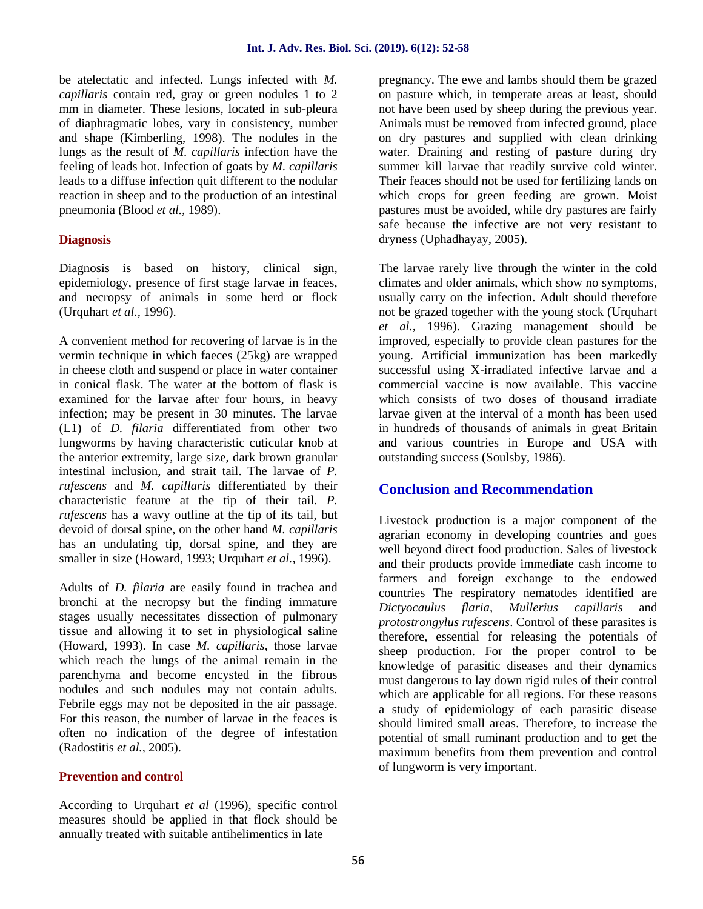be atelectatic and infected. Lungs infected with *M. capillaris* contain red, gray or green nodules 1 to 2 mm in diameter. These lesions, located in sub-pleura of diaphragmatic lobes, vary in consistency, number and shape (Kimberling, 1998). The nodules in the lungs as the result of *M. capillaris* infection have the feeling of leads hot. Infection of goats by *M. capillaris* leads to a diffuse infection quit different to the nodular reaction in sheep and to the production of an intestinal pneumonia (Blood *et al.,* 1989).

#### **Diagnosis**

Diagnosis is based on history, clinical sign, epidemiology, presence of first stage larvae in feaces, and necropsy of animals in some herd or flock (Urquhart *et al.,* 1996).

A convenient method for recovering of larvae is in the vermin technique in which faeces (25kg) are wrapped in cheese cloth and suspend or place in water container in conical flask. The water at the bottom of flask is examined for the larvae after four hours, in heavy infection; may be present in 30 minutes. The larvae (L1) of *D. filaria* differentiated from other two lungworms by having characteristic cuticular knob at the anterior extremity, large size, dark brown granular intestinal inclusion, and strait tail. The larvae of *P. rufescens* and *M. capillaris* differentiated by their characteristic feature at the tip of their tail. *P. rufescens* has a wavy outline at the tip of its tail, but devoid of dorsal spine, on the other hand *M. capillaris* has an undulating tip, dorsal spine, and they are smaller in size (Howard, 1993; Urquhart *et al.,* 1996).

Adults of *D. filaria* are easily found in trachea and bronchi at the necropsy but the finding immature stages usually necessitates dissection of pulmonary tissue and allowing it to set in physiological saline (Howard, 1993). In case *M. capillaris*, those larvae which reach the lungs of the animal remain in the parenchyma and become encysted in the fibrous nodules and such nodules may not contain adults. Febrile eggs may not be deposited in the air passage. For this reason, the number of larvae in the feaces is often no indication of the degree of infestation (Radostitis *et al.,* 2005).

#### **Prevention and control**

According to Urquhart *et al* (1996), specific control measures should be applied in that flock should be annually treated with suitable antihelimentics in late

pregnancy. The ewe and lambs should them be grazed on pasture which, in temperate areas at least, should not have been used by sheep during the previous year. Animals must be removed from infected ground, place on dry pastures and supplied with clean drinking water. Draining and resting of pasture during dry summer kill larvae that readily survive cold winter. Their feaces should not be used for fertilizing lands on which crops for green feeding are grown. Moist pastures must be avoided, while dry pastures are fairly safe because the infective are not very resistant to dryness (Uphadhayay, 2005).

The larvae rarely live through the winter in the cold climates and older animals, which show no symptoms, usually carry on the infection. Adult should therefore not be grazed together with the young stock (Urquhart *et al.,* 1996). Grazing management should be improved, especially to provide clean pastures for the young. Artificial immunization has been markedly successful using X-irradiated infective larvae and a commercial vaccine is now available. This vaccine which consists of two doses of thousand irradiate larvae given at the interval of a month has been used in hundreds of thousands of animals in great Britain and various countries in Europe and USA with outstanding success (Soulsby, 1986).

## **Conclusion and Recommendation**

Livestock production is a major component of the agrarian economy in developing countries and goes well beyond direct food production. Sales of livestock and their products provide immediate cash income to farmers and foreign exchange to the endowed countries The respiratory nematodes identified are *Dictyocaulus flaria, Mullerius capillaris* and *protostrongylus rufescens*. Control of these parasites is therefore, essential for releasing the potentials of sheep production. For the proper control to be knowledge of parasitic diseases and their dynamics must dangerous to lay down rigid rules of their control which are applicable for all regions. For these reasons a study of epidemiology of each parasitic disease should limited small areas. Therefore, to increase the potential of small ruminant production and to get the maximum benefits from them prevention and control of lungworm is very important.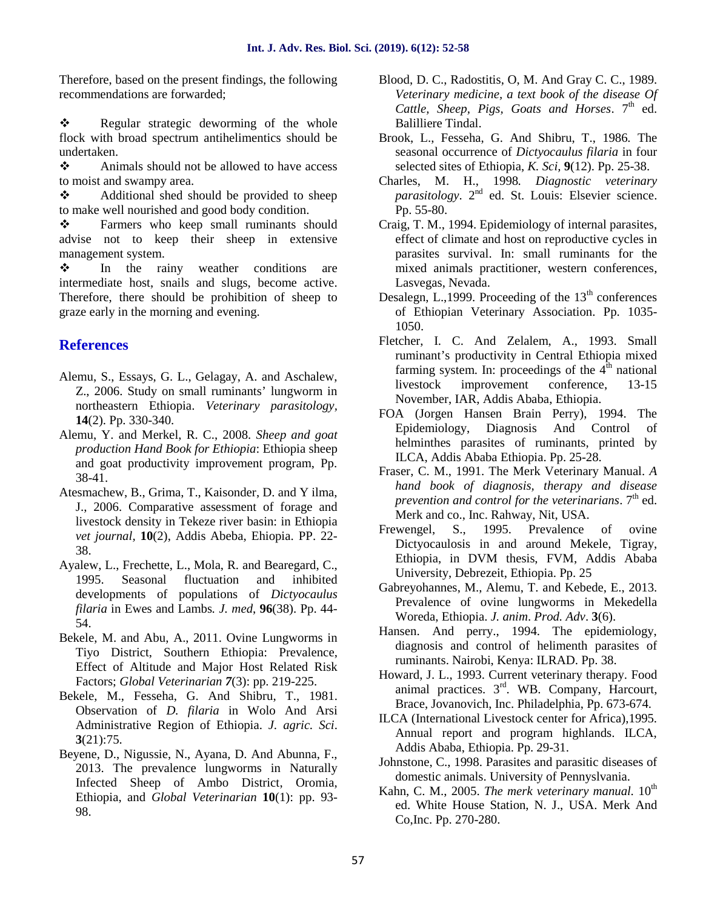Therefore, based on the present findings, the following recommendations are forwarded;

\* Regular strategic deworming of the whole flock with broad spectrum antihelimentics should be undertaken.

 $\triangle$  Animals should not be allowed to have access to moist and swampy area.

 Additional shed should be provided to sheep to make well nourished and good body condition.

\* Farmers who keep small ruminants should advise not to keep their sheep in extensive management system.

 $\div$  In the rainy weather conditions are intermediate host, snails and slugs, become active. Therefore, there should be prohibition of sheep to graze early in the morning and evening.

## **References**

- Alemu, S., Essays, G. L., Gelagay, A. and Aschalew, Z., 2006. Study on small ruminants' lungworm in northeastern Ethiopia. *Veterinary parasitology,* **14**(2). Pp. 330-340.
- Alemu, Y. and Merkel, R. C., 2008. *Sheep and goat production Hand Book for Ethiopia*: Ethiopia sheep and goat productivity improvement program, Pp. 38-41.
- Atesmachew, B., Grima, T., Kaisonder, D. and Y ilma, J., 2006. Comparative assessment of forage and livestock density in Tekeze river basin: in Ethiopia *vet journal,* **10**(2), Addis Abeba, Ehiopia. PP. 22- 38.
- Ayalew, L., Frechette, L., Mola, R. and Bearegard, C., 1995. Seasonal fluctuation and inhibited developments of populations of *Dictyocaulus filaria* in Ewes and Lambs*. J. med*, **96**(38). Pp. 44- 54.
- Bekele, M. and Abu, A., 2011. Ovine Lungworms in Tiyo District, Southern Ethiopia: Prevalence, Effect of Altitude and Major Host Related Risk Factors; *Global Veterinarian 7*(3): pp. 219-225.
- Bekele, M., Fesseha, G. And Shibru, T., 1981. Observation of *D. filaria* in Wolo And Arsi Administrative Region of Ethiopia. *J. agric. Sci*. **3**(21):75.
- Beyene, D., Nigussie, N., Ayana, D. And Abunna, F., 2013. The prevalence lungworms in Naturally Infected Sheep of Ambo District, Oromia, Ethiopia, and *Global Veterinarian* **10**(1): pp. 93- 98.
- Blood, D. C., Radostitis, O, M. And Gray C. C., 1989. *Veterinary medicine, a text book of the disease Of Cattle, Sheep, Pigs, Goats and Horses,* 7<sup>th</sup> ed. Balilliere Tindal.
- Brook, L., Fesseha, G. And Shibru, T., 1986*.* The seasonal occurrence of *Dictyocaulus filaria* in four selected sites of Ethiopia, *K. Sci,* **9**(12). Pp. 25-38.
- Charles, M. H., 1998*. Diagnostic veterinary parasitology*. 2<sup>nd</sup> ed. St. Louis: Elsevier science. Pp. 55-80.
- Craig, T. M., 1994. Epidemiology of internal parasites, effect of climate and host on reproductive cycles in parasites survival. In: small ruminants for the mixed animals practitioner, western conferences, Lasvegas, Nevada.
- Desalegn, L., 1999. Proceeding of the  $13<sup>th</sup>$  conferences of Ethiopian Veterinary Association. Pp. 1035- 1050.
- Fletcher, I. C. And Zelalem, A., 1993. Small ruminant's productivity in Central Ethiopia mixed farming system. In: proceedings of the  $4<sup>th</sup>$  national livestock improvement conference, 13-15 November, IAR, Addis Ababa, Ethiopia.
- FOA (Jorgen Hansen Brain Perry), 1994. The Epidemiology, Diagnosis And Control of helminthes parasites of ruminants, printed by ILCA, Addis Ababa Ethiopia. Pp. 25-28.
- Fraser, C. M., 1991. The Merk Veterinary Manual. *A hand book of diagnosis, therapy and disease prevention and control for the veterinarians.* 7<sup>th</sup> ed. Merk and co., Inc. Rahway, Nit, USA.
- Frewengel, S., 1995. Prevalence of ovine Dictyocaulosis in and around Mekele, Tigray, Ethiopia, in DVM thesis, FVM, Addis Ababa University, Debrezeit, Ethiopia. Pp. 25
- Gabreyohannes, M., Alemu, T. and Kebede, E., 2013. Prevalence of ovine lungworms in Mekedella Woreda, Ethiopia. *J. anim*. *Prod. Adv*. **3**(6).
- Hansen. And perry., 1994. The epidemiology, diagnosis and control of helimenth parasites of ruminants. Nairobi, Kenya: ILRAD. Pp. 38.
- Howard, J. L., 1993. Current veterinary therapy. Food animal practices.  $3<sup>rd</sup>$ . WB. Company, Harcourt, Brace, Jovanovich, Inc. Philadelphia, Pp. 673-674.
- ILCA (International Livestock center for Africa),1995. Annual report and program highlands. ILCA, Addis Ababa, Ethiopia. Pp. 29-31.
- Johnstone, C., 1998. Parasites and parasitic diseases of domestic animals. University of Pennyslvania.
- Kahn, C. M., 2005. *The merk veterinary manual*.  $10^{th}$ ed. White House Station, N. J., USA. Merk And Co,Inc. Pp. 270-280.